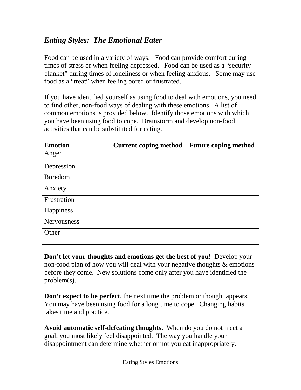## *Eating Styles: The Emotional Eater*

Food can be used in a variety of ways. Food can provide comfort during times of stress or when feeling depressed. Food can be used as a "security blanket" during times of loneliness or when feeling anxious. Some may use food as a "treat" when feeling bored or frustrated.

If you have identified yourself as using food to deal with emotions, you need to find other, non-food ways of dealing with these emotions. A list of common emotions is provided below. Identify those emotions with which you have been using food to cope. Brainstorm and develop non-food activities that can be substituted for eating.

| <b>Emotion</b> | <b>Current coping method</b> | <b>Future coping method</b> |  |  |  |
|----------------|------------------------------|-----------------------------|--|--|--|
| Anger          |                              |                             |  |  |  |
| Depression     |                              |                             |  |  |  |
| Boredom        |                              |                             |  |  |  |
| Anxiety        |                              |                             |  |  |  |
| Frustration    |                              |                             |  |  |  |
| Happiness      |                              |                             |  |  |  |
| Nervousness    |                              |                             |  |  |  |
| Other          |                              |                             |  |  |  |

**Don't let your thoughts and emotions get the best of you!** Develop your non-food plan of how you will deal with your negative thoughts & emotions before they come. New solutions come only after you have identified the problem(s).

**Don't expect to be perfect**, the next time the problem or thought appears. You may have been using food for a long time to cope. Changing habits takes time and practice.

**Avoid automatic self-defeating thoughts.** When do you do not meet a goal, you most likely feel disappointed. The way you handle your disappointment can determine whether or not you eat inappropriately.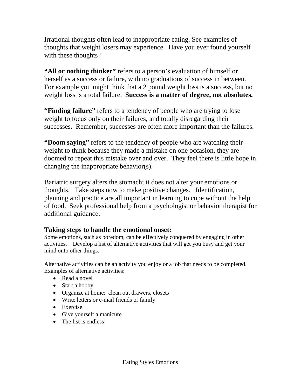Irrational thoughts often lead to inappropriate eating. See examples of thoughts that weight losers may experience. Have you ever found yourself with these thoughts?

**"All or nothing thinker"** refers to a person's evaluation of himself or herself as a success or failure, with no graduations of success in between. For example you might think that a 2 pound weight loss is a success, but no weight loss is a total failure. **Success is a matter of degree, not absolutes.**

**"Finding failure"** refers to a tendency of people who are trying to lose weight to focus only on their failures, and totally disregarding their successes. Remember, successes are often more important than the failures.

**"Doom saying"** refers to the tendency of people who are watching their weight to think because they made a mistake on one occasion, they are doomed to repeat this mistake over and over. They feel there is little hope in changing the inappropriate behavior(s).

Bariatric surgery alters the stomach; it does not alter your emotions or thoughts. Take steps now to make positive changes. Identification, planning and practice are all important in learning to cope without the help of food. Seek professional help from a psychologist or behavior therapist for additional guidance.

## **Taking steps to handle the emotional onset:**

Some emotions, such as boredom, can be effectively conquered by engaging in other activities. Develop a list of alternative activities that will get you busy and get your mind onto other things.

Alternative activities can be an activity you enjoy or a job that needs to be completed. Examples of alternative activities:

- Read a novel
- Start a hobby
- Organize at home: clean out drawers, closets
- Write letters or e-mail friends or family
- Exercise
- Give yourself a manicure
- The list is endless!